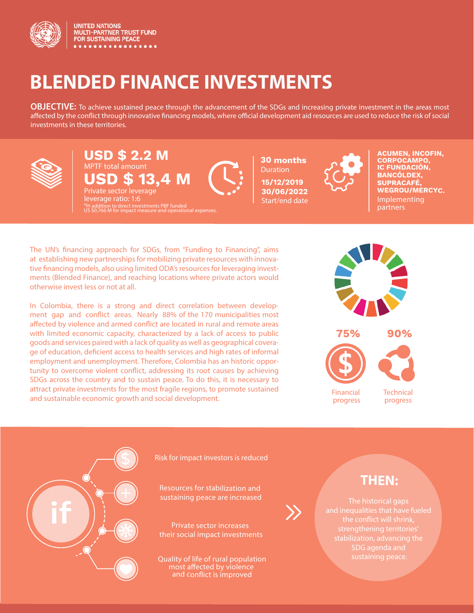

**UNITED NATIONS** MULTI-PARTNER TRUST FUND<br>FOR SUSTAINING PEACE

# **BLENDED FINANCE INVESTMENTS**

**OBJECTIVE:** To achieve sustained peace through the advancement of the SDGs and increasing private investment in the areas most affected by the conflict through innovative financing models, where official development aid resources are used to reduce the risk of social investments in these territories.



# **USD \$ 2.2 M** MPTF total amount **USD \$ 13,4 M** Private sector leverage

leverage ratio: 1:6 \*In addition to direct investments PBF funded US \$0,766 M for impact measure and operational expenses. **30 months** Duration **15/12/2019 30/06/2022** Start/end date



Implementing partners **ACUMEN, INCOFIN, CORPOCAMPO, IC FUNDACIÓN, BANCÓLDEX, SUPRACAFÉ, WEGROU/MERCYC.**

The UN's financing approach for SDGs, from "Funding to Financing", aims at establishing new partnerships for mobilizing private resources with innovative financing models, also using limited ODA's resources for leveraging investments (Blended Finance), and reaching locations where private actors would otherwise invest less or not at all.

In Colombia, there is a strong and direct correlation between development gap and conflict areas. Nearly 88% of the 170 municipalities most affected by violence and armed conflict are located in rural and remote areas with limited economic capacity, characterized by a lack of access to public goods and services paired with a lack of quality as well as geographical coverage of education, deficient access to health services and high rates of informal employment and unemployment. Therefore, Colombia has an historic opportunity to overcome violent conflict, addressing its root causes by achieving SDGs across the country and to sustain peace. To do this, it is necessary to attract private investments for the most fragile regions, to promote sustained and sustainable economic growth and social development.





Risk for impact investors is reduced

Resources for stabilization and sustaining peace are increased

Private sector increases their social impact investments

Quality of life of rural population most affected by violence and conflict is improved

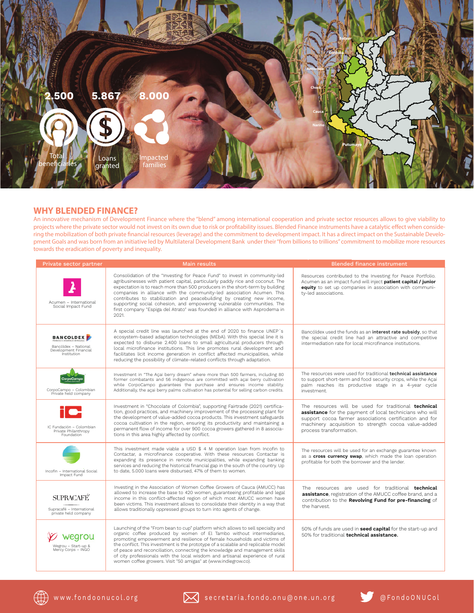

# **WHY BLENDED FINANCE?**

An innovative mechanism of Development Finance where the "blend" among international cooperation and private sector resources allows to give viability to projects where the private sector would not invest on its own due to risk or profitability issues. Blended Finance instruments have a catalytic effect when considering the mobilization of both private nancial resources (leverage) and the commitment to development impact. It has a direct impact on the Sustainable Development Goals and was born from an initiative led by Multilateral Development Bank under their "from billions to trillions" commitment to mobilize more resources towards the eradication of poverty and inequality.

| Private sector partner                                                                  | <b>Main results</b>                                                                                                                                                                                                                                                                                                                                                                                                                                                                                                                                               | <b>Blended finance instrument</b>                                                                                                                                                                                                                             |
|-----------------------------------------------------------------------------------------|-------------------------------------------------------------------------------------------------------------------------------------------------------------------------------------------------------------------------------------------------------------------------------------------------------------------------------------------------------------------------------------------------------------------------------------------------------------------------------------------------------------------------------------------------------------------|---------------------------------------------------------------------------------------------------------------------------------------------------------------------------------------------------------------------------------------------------------------|
| Acumen - International<br>Social Impact Fund                                            | Consolidation of the "Investing for Peace Fund" to invest in community-led<br>agribusinesses with patient capital, particularly paddy rice and coconut. The<br>expectation is to reach more than 500 producers in the short-term by building<br>companies in alliance with the community-led association Acumen. This<br>contributes to stabilization and peacebuilding by creating new income,<br>supporting social cohesion, and empowering vulnerable communities. The<br>first company "Espiga del Atrato" was founded in alliance with Asprodema in<br>2021. | Resources contributed to the Investing for Peace Portfolio.<br>Acumen as an impact fund will inject patient capital / junior<br>equity to set up companies in association with communi-<br>ty-led associations.                                               |
| <b>BANCOLDEX</b><br>Bancóldex - National<br>Development Financial<br><i>institution</i> | A special credit line was launched at the end of 2020 to finance UNEP's<br>ecosystem-based adaptation technologies (MEbA). With this special line it is<br>expected to disburse 2.400 loans to small agricultural producers through<br>local microfinance institutions. This line promotes rural development and<br>facilitates licit income generation in conflict affected municipalities, while<br>reducing the possibility of climate-related conflicts through adaptation.                                                                                   | Bancóldex used the funds as an interest rate subsidy, so that<br>the special credit line had an attractive and competitive<br>intermediation rate for local microfinance institutions.                                                                        |
| CorpoCampo<br>CorpoCampo - Colombian<br>Private held company                            | Investment in "The Açai berry dream" where more than 500 farmers, including 80<br>former combatants and 56 indigenous are committed with acai berry cultivation<br>while CorpoCampo guarantees the purchase and ensures income stability.<br>Additionally, the acai berry palms cultivation has potential for selling carbon credits.                                                                                                                                                                                                                             | The resources were used for traditional <b>technical assistance</b><br>to support short-term and food security crops, while the Açai<br>palm reaches its productive stage in a 4-year cycle<br>investment.                                                    |
| IC Fundación - Colombian<br>Private Philanthropy<br>Foundation                          | Investment in "Chocolate of Colombia", supporting Fairtrade (2021) certifica-<br>tion, good practices, and machinery improvement of the processing plant for<br>the development of value-added cocoa products. This investment safeguards<br>cocoa cultivation in the region, ensuring its productivity and maintaining a<br>permanent flow of income for over 900 cocoa growers gathered in 8 associa-<br>tions in this area highly affected by conflict.                                                                                                        | The resources will be used for traditional technical<br>assistance for the payment of local technicians who will<br>support cocoa farmer associations certification and for<br>machinery acquisition to strength cocoa value-added<br>process transformation. |
| Incofin - International Social<br>Impact Fund                                           | This investment made viable a USD \$ 4 M operation loan from Incofin to<br>Contactar, a microfinance cooperative. With these resources Contactar is<br>expanding its presence in remote municipalities, while expanding banking<br>services and reducing the historical financial gap in the south of the country. Up<br>to date, 5.000 loans were disbursed, 47% of them to women.                                                                                                                                                                               | The resources will be used for an exchange guarantee known<br>as a cross currency swap, which made the loan operation<br>profitable for both the borrower and the lender.                                                                                     |
| <b>SUPRACAFÉ</b><br>Supracafé - International<br>private held company                   | Investing in the Association of Women Coffee Growers of Cauca (AMUCC) has<br>allowed to increase the base to 420 women, guaranteeing profitable and legal<br>income in this conflict-affected region of which most AMUCC women have<br>been victims. This investment allows to consolidate their identity in a way that<br>allows traditionally oppressed groups to turn into agents of change.                                                                                                                                                                   | The resources are used for traditional <b>technical</b><br>assistance, registration of the AMUCC coffee brand, and a<br>contribution to the Revolving Fund for pre-financing of<br>the harvest.                                                               |
| Wegrou - Start-up &<br>Mercy Corps - INGO                                               | Launching of the "From bean to cup" platform which allows to sell specialty and<br>organic coffee produced by women of El Tambo without intermediaries,<br>promoting empowerment and resilience of female households and victims of<br>the conflict. This investment is the prototype of a scalable and replicable model<br>of peace and reconciliation, connecting the knowledge and management skills<br>of city professionals with the local wisdom and artisanal experience of rural<br>women coffee growers. Visit "50 amigas" at (www.indiegrow.co).        | 50% of funds are used in seed capital for the start-up and<br>50% for traditional technical assistance.                                                                                                                                                       |

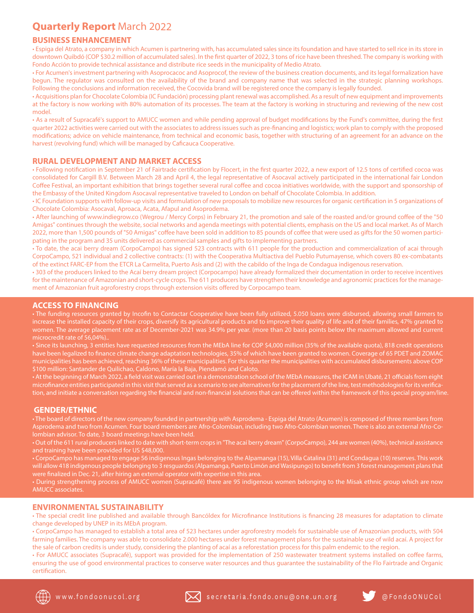# **Quarterly Report** March 2022

## **BUSINESS ENHANCEMENT**

• Espiga del Atrato, a company in which Acumen is partnering with, has accumulated sales since its foundation and have started to sell rice in its store in downtown Quibdó (COP \$30.2 million of accumulated sales). In the first quarter of 2022, 3 tons of rice have been threshed. The company is working with Fondo Acción to provide technical assistance and distribute rice seeds in the municipality of Medio Atrato.

• For Acumen's investment partnering with Asoprocacoc and Asoprocof, the review of the business creation documents, and its legal formalization have begun. The regulator was consulted on the availability of the brand and company name that was selected in the strategic planning workshops. Following the conclusions and information received, the Cocovida brand will be registered once the company is legally founded.

• Acquisitions plan for Chocolate Colombia (IC Fundación) processing plant renewal was accomplished. As a result of new equipment and improvements at the factory is now working with 80% automation of its processes. The team at the factory is working in structuring and reviewing of the new cost model.

• As a result of Supracafé's support to AMUCC women and while pending approval of budget modifications by the Fund's committee, during the first quarter 2022 activities were carried out with the associates to address issues such as pre-nancing and logistics; work plan to comply with the proposed modications; advice on vehicle maintenance, from technical and economic basis, together with structuring of an agreement for an advance on the harvest (revolving fund) which will be managed by Caficauca Cooperative.

# **RURAL DEVELOPMENT AND MARKET ACCESS**

• Following notification in September 21 of Fairtrade certification by Flocert, in the first quarter 2022, a new export of 12.5 tons of certified cocoa was consolidated for Cargill B.V. Between March 28 and April 4, the legal representative of Asocaval actively participated in the international fair London Coffee Festival, an important exhibition that brings together several rural coffee and cocoa initiatives worldwide, with the support and sponsorship of the Embassy of the United Kingdom Asocaval representative traveled to London on behalf of Chocolate Colombia. In addition.

• IC Foundation supports with follow-up visits and formulation of new proposals to mobilize new resources for organic certification in 5 organizations of Chocolate Colombia: Asocaval, Aproaca, Acata, Afapul and Asoprodema.

• After launching of www.indiegrow.co (Wegrou / Mercy Corps) in February 21, the promotion and sale of the roasted and/or ground coffee of the "50 Amigas" continues through the website, social networks and agenda meetings with potential clients, emphasis on the US and local market. As of March 2022, more than 1,500 pounds of "50 Amigas" coffee have been sold in addition to 85 pounds of coffee that were used as gifts for the 50 women participating in the program and 35 units delivered as commercial samples and gifts to implementing partners.

• To date, the acai berry dream (CorpoCampo) has signed 523 contracts with 611 people for the production and commercialization of acai through CorpoCampo, 521 individual and 2 collective contracts: (1) with the Cooperativa Multiactiva del Pueblo Putumayense, which covers 80 ex-combatants of the extinct FARC-EP from the ETCR La Carmelita, Puerto Asís and (2) with the cabildo of the Inga de Condagua indigenous reservation.

• 303 of the producers linked to the Acaí berry dream project (Corpocampo) have already formalized their documentation in order to receive incentives for the maintenance of Amazonian and short-cycle crops. The 611 producers have strengthen their knowledge and agronomic practices for the management of Amazonian fruit agroforestry crops through extension visits offered by Corpocampo team.

### **ACCESS TO FINANCING**

• The funding resources granted by Incofin to Contactar Cooperative have been fully utilized, 5.050 loans were disbursed, allowing small farmers to increase the installed capacity of their crops, diversify its agricultural products and to improve their quality of life and of their families, 47% granted to women. The average placement rate as of December-2021 was 34.9% per year. (more than 20 basis points below the maximum allowed and current

• Since its launching, 3 entities have requested resources from the MEbA line for COP \$4,000 million (35% of the available quota), 818 credit operations have been legalized to finance climate change adaptation technologies, 35% of which have been granted to women. Coverage of 65 PDET and ZOMAC municipalities has been achieved, reaching 36% of these municipalities. For this quarter the municipalities with accumulated disbursements above COP

tion, and initiate a conversation regarding the financial and non-financial solutions that can be offered within the framework of this special program/line.

#### **GENDER/ETHNIC**

• The board of directors of the new company founded in partnership with Asprodema - Espiga del Atrato (Acumen) is composed of three members from

• During strengthening process of AMUCC women (Supracafé) there are 95 indigenous women belonging to the Misak ethnic group which are now

## **ENVIRONMENTAL SUSTAINABILITY**

• The special credit line published and available through Bancóldex for Microfinance Institutions is financing 28 measures for adaptation to climate change developed by UNEP in its MEbA program.

• CorpoCampo has managed to establish a total area of 523 hectares under agroforestry models for sustainable use of Amazonian products, with 504 farming families. The company was able to consolidate 2.000 hectares under forest management plans for the sustainable use of wild acaí. A project for the sale of carbon credits is under study, considering the planting of acaí as a reforestation process for this palm endemic to the region.

• For AMUCC associates (Supracafé), support was provided for the implementation of 250 wastewater treatment systems installed on coffee farms, ensuring the use of good environmental practices to conserve water resources and thus guarantee the sustainability of the Flo Fairtrade and Organic certification.